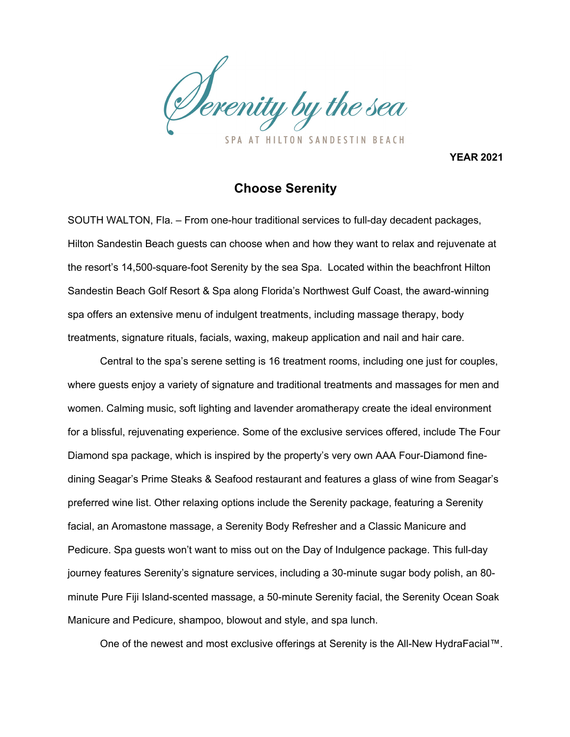

**YEAR 2021**

## **Choose Serenity**

SOUTH WALTON, Fla. – From one-hour traditional services to full-day decadent packages, Hilton Sandestin Beach guests can choose when and how they want to relax and rejuvenate at the resort's 14,500-square-foot Serenity by the sea Spa. Located within the beachfront Hilton Sandestin Beach Golf Resort & Spa along Florida's Northwest Gulf Coast, the award-winning spa offers an extensive menu of indulgent treatments, including massage therapy, body treatments, signature rituals, facials, waxing, makeup application and nail and hair care.

Central to the spa's serene setting is 16 treatment rooms, including one just for couples, where guests enjoy a variety of signature and traditional treatments and massages for men and women. Calming music, soft lighting and lavender aromatherapy create the ideal environment for a blissful, rejuvenating experience. Some of the exclusive services offered, include The Four Diamond spa package, which is inspired by the property's very own AAA Four-Diamond finedining Seagar's Prime Steaks & Seafood restaurant and features a glass of wine from Seagar's preferred wine list. Other relaxing options include the Serenity package, featuring a Serenity facial, an Aromastone massage, a Serenity Body Refresher and a Classic Manicure and Pedicure. Spa guests won't want to miss out on the Day of Indulgence package. This full-day journey features Serenity's signature services, including a 30-minute sugar body polish, an 80 minute Pure Fiji Island-scented massage, a 50-minute Serenity facial, the Serenity Ocean Soak Manicure and Pedicure, shampoo, blowout and style, and spa lunch.

One of the newest and most exclusive offerings at Serenity is the All-New HydraFacial™.